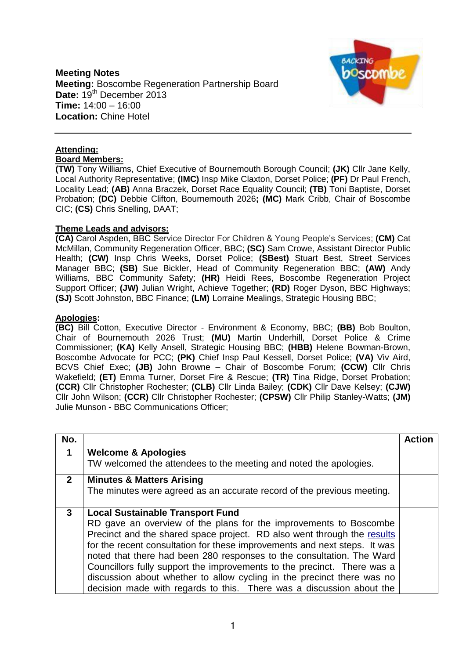**Meeting Notes Meeting:** Boscombe Regeneration Partnership Board Date:  $19^{th}$  December 2013 **Time:** 14:00 – 16:00 **Location:** Chine Hotel



## **Attending:**

**Board Members:**

**(TW)** Tony Williams, Chief Executive of Bournemouth Borough Council; **(JK)** Cllr Jane Kelly, Local Authority Representative; **(IMC)** Insp Mike Claxton, Dorset Police; **(PF)** Dr Paul French, Locality Lead; **(AB)** Anna Braczek, Dorset Race Equality Council; **(TB)** Toni Baptiste, Dorset Probation; **(DC)** Debbie Clifton, Bournemouth 2026**; (MC)** Mark Cribb, Chair of Boscombe CIC; **(CS)** Chris Snelling, DAAT;

## **Theme Leads and advisors:**

**(CA)** Carol Aspden, BBC Service Director For Children & Young People's Services; **(CM)** Cat McMillan, Community Regeneration Officer, BBC; **(SC)** Sam Crowe, Assistant Director Public Health; **(CW)** Insp Chris Weeks, Dorset Police; **(SBest)** Stuart Best, Street Services Manager BBC; **(SB)** Sue Bickler, Head of Community Regeneration BBC; **(AW)** Andy Williams, BBC Community Safety; **(HR)** Heidi Rees, Boscombe Regeneration Project Support Officer; **(JW)** Julian Wright, Achieve Together; **(RD)** Roger Dyson, BBC Highways; **(SJ)** Scott Johnston, BBC Finance; **(LM)** Lorraine Mealings, Strategic Housing BBC;

## **Apologies:**

**(BC)** Bill Cotton, Executive Director - Environment & Economy, BBC; **(BB)** Bob Boulton, Chair of Bournemouth 2026 Trust; **(MU)** Martin Underhill, Dorset Police & Crime Commissioner; **(KA)** Kelly Ansell, Strategic Housing BBC; **(HBB)** Helene Bowman-Brown, Boscombe Advocate for PCC; **(PK)** Chief Insp Paul Kessell, Dorset Police; **(VA)** Viv Aird, BCVS Chief Exec; **(JB)** John Browne – Chair of Boscombe Forum; **(CCW)** Cllr Chris Wakefield; **(ET)** Emma Turner, Dorset Fire & Rescue; **(TR)** Tina Ridge, Dorset Probation; **(CCR)** Cllr Christopher Rochester; **(CLB)** Cllr Linda Bailey; **(CDK)** Cllr Dave Kelsey; **(CJW)** Cllr John Wilson; **(CCR)** Cllr Christopher Rochester; **(CPSW)** Cllr Philip Stanley-Watts; **(JM)**  Julie Munson - BBC Communications Officer;

| No.          |                                                                                                                                                                                                                                                                                                    | <b>Action</b> |
|--------------|----------------------------------------------------------------------------------------------------------------------------------------------------------------------------------------------------------------------------------------------------------------------------------------------------|---------------|
| 1            | <b>Welcome &amp; Apologies</b>                                                                                                                                                                                                                                                                     |               |
|              | TW welcomed the attendees to the meeting and noted the apologies.                                                                                                                                                                                                                                  |               |
| $\mathbf{2}$ | <b>Minutes &amp; Matters Arising</b><br>The minutes were agreed as an accurate record of the previous meeting.                                                                                                                                                                                     |               |
|              |                                                                                                                                                                                                                                                                                                    |               |
| 3            | <b>Local Sustainable Transport Fund</b><br>RD gave an overview of the plans for the improvements to Boscombe<br>Precinct and the shared space project. RD also went through the results<br>for the recent consultation for these improvements and next steps. It was                               |               |
|              | noted that there had been 280 responses to the consultation. The Ward<br>Councillors fully support the improvements to the precinct. There was a<br>discussion about whether to allow cycling in the precinct there was no<br>decision made with regards to this. There was a discussion about the |               |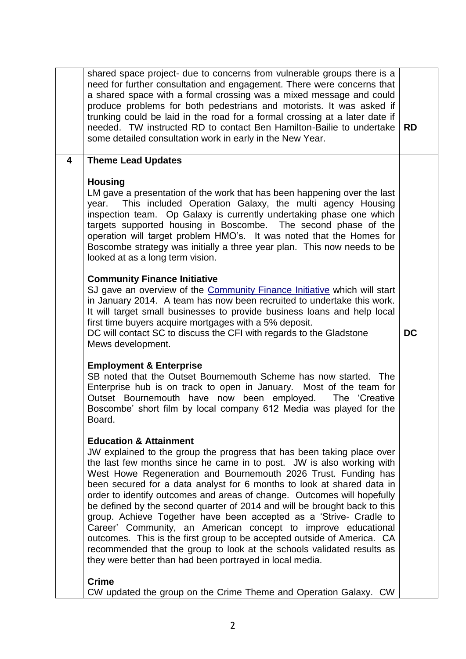|   | shared space project- due to concerns from vulnerable groups there is a<br>need for further consultation and engagement. There were concerns that<br>a shared space with a formal crossing was a mixed message and could<br>produce problems for both pedestrians and motorists. It was asked if<br>trunking could be laid in the road for a formal crossing at a later date if<br>needed. TW instructed RD to contact Ben Hamilton-Bailie to undertake<br>some detailed consultation work in early in the New Year.                                                                                                                                                                                                                                                                                                                             | <b>RD</b> |
|---|--------------------------------------------------------------------------------------------------------------------------------------------------------------------------------------------------------------------------------------------------------------------------------------------------------------------------------------------------------------------------------------------------------------------------------------------------------------------------------------------------------------------------------------------------------------------------------------------------------------------------------------------------------------------------------------------------------------------------------------------------------------------------------------------------------------------------------------------------|-----------|
| 4 | <b>Theme Lead Updates</b>                                                                                                                                                                                                                                                                                                                                                                                                                                                                                                                                                                                                                                                                                                                                                                                                                        |           |
|   | <b>Housing</b><br>LM gave a presentation of the work that has been happening over the last<br>This included Operation Galaxy, the multi agency Housing<br>year.<br>inspection team. Op Galaxy is currently undertaking phase one which<br>targets supported housing in Boscombe. The second phase of the<br>operation will target problem HMO's. It was noted that the Homes for<br>Boscombe strategy was initially a three year plan. This now needs to be<br>looked at as a long term vision.                                                                                                                                                                                                                                                                                                                                                  |           |
|   | <b>Community Finance Initiative</b><br>SJ gave an overview of the Community Finance Initiative which will start<br>in January 2014. A team has now been recruited to undertake this work.<br>It will target small businesses to provide business loans and help local<br>first time buyers acquire mortgages with a 5% deposit.<br>DC will contact SC to discuss the CFI with regards to the Gladstone<br>Mews development.                                                                                                                                                                                                                                                                                                                                                                                                                      | <b>DC</b> |
|   | <b>Employment &amp; Enterprise</b><br>SB noted that the Outset Bournemouth Scheme has now started. The<br>Enterprise hub is on track to open in January. Most of the team for<br>Outset Bournemouth have now been employed.<br>The 'Creative<br>Boscombe' short film by local company 612 Media was played for the<br>Board.                                                                                                                                                                                                                                                                                                                                                                                                                                                                                                                     |           |
|   | <b>Education &amp; Attainment</b><br>JW explained to the group the progress that has been taking place over<br>the last few months since he came in to post. JW is also working with<br>West Howe Regeneration and Bournemouth 2026 Trust. Funding has<br>been secured for a data analyst for 6 months to look at shared data in<br>order to identify outcomes and areas of change. Outcomes will hopefully<br>be defined by the second quarter of 2014 and will be brought back to this<br>group. Achieve Together have been accepted as a 'Strive- Cradle to<br>Career' Community, an American concept to improve educational<br>outcomes. This is the first group to be accepted outside of America. CA<br>recommended that the group to look at the schools validated results as<br>they were better than had been portrayed in local media. |           |
|   | <b>Crime</b><br>CW updated the group on the Crime Theme and Operation Galaxy. CW                                                                                                                                                                                                                                                                                                                                                                                                                                                                                                                                                                                                                                                                                                                                                                 |           |